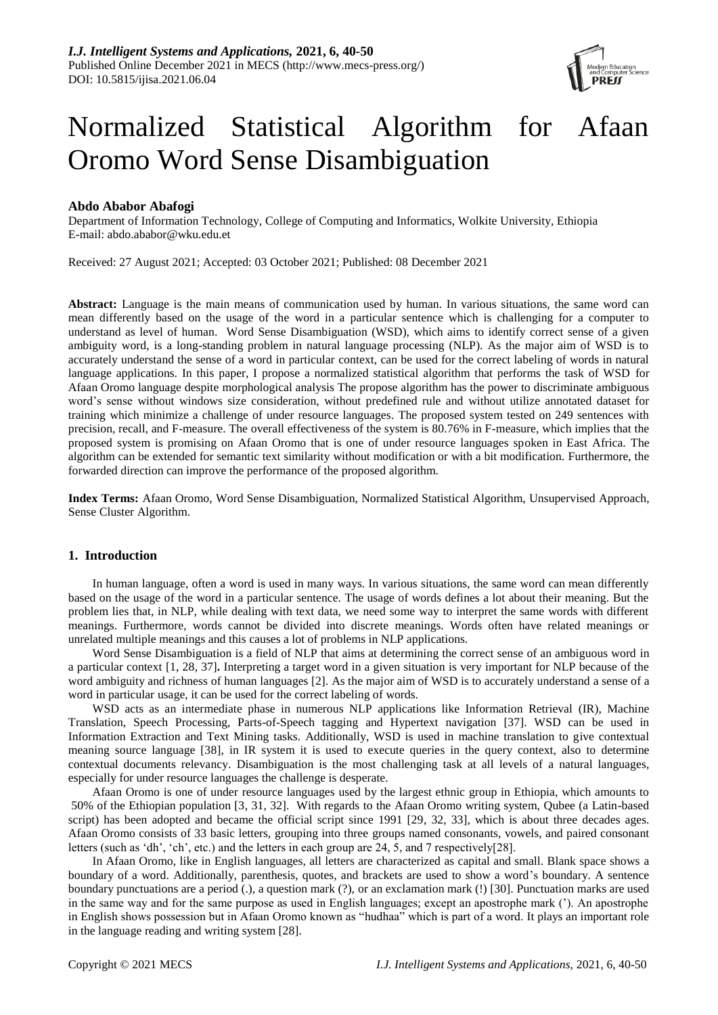

# Normalized Statistical Algorithm for Afaan Oromo Word Sense Disambiguation

# **Abdo Ababor Abafogi**

Department of Information Technology, College of Computing and Informatics, Wolkite University, Ethiopia E-mail: [abdo.ababor@wku.edu.et](mailto:abdo.ababor@wku.edu.et)

Received: 27 August 2021; Accepted: 03 October 2021; Published: 08 December 2021

**Abstract:** Language is the main means of communication used by human. In various situations, the same word can mean differently based on the usage of the word in a particular sentence which is challenging for a computer to understand as level of human. Word Sense Disambiguation (WSD), which aims to identify correct sense of a given ambiguity word, is a long-standing problem in natural language processing (NLP). As the major aim of WSD is to accurately understand the sense of a word in particular context, can be used for the correct labeling of words in natural language applications. In this paper, I propose a normalized statistical algorithm that performs the task of WSD for Afaan Oromo language despite morphological analysis The propose algorithm has the power to discriminate ambiguous word's sense without windows size consideration, without predefined rule and without utilize annotated dataset for training which minimize a challenge of under resource languages. The proposed system tested on 249 sentences with precision, recall, and F-measure. The overall effectiveness of the system is 80.76% in F-measure, which implies that the proposed system is promising on Afaan Oromo that is one of under resource languages spoken in East Africa. The algorithm can be extended for semantic text similarity without modification or with a bit modification. Furthermore, the forwarded direction can improve the performance of the proposed algorithm.

**Index Terms:** Afaan Oromo, Word Sense Disambiguation, Normalized Statistical Algorithm, Unsupervised Approach, Sense Cluster Algorithm.

# **1. Introduction**

In human language, often a word is used in many ways. In various situations, the same word can mean differently based on the usage of the word in a particular sentence. The usage of words defines a lot about their meaning. But the problem lies that, in NLP, while dealing with text data, we need some way to interpret the same words with different meanings. Furthermore, words cannot be divided into discrete meanings. Words often have related meanings or unrelated multiple meanings and this causes a lot of problems in NLP applications.

Word Sense Disambiguation is a field of NLP that aims at determining the correct sense of an ambiguous word in a particular context [1, 28, 37]**.** Interpreting a target word in a given situation is very important for NLP because of the word ambiguity and richness of human languages [2]. As the major aim of WSD is to accurately understand a sense of a word in particular usage, it can be used for the correct labeling of words.

WSD acts as an intermediate phase in numerous NLP applications like Information Retrieval (IR), Machine Translation, Speech Processing, Parts-of-Speech tagging and Hypertext navigation [37]. WSD can be used in Information Extraction and Text Mining tasks. Additionally, WSD is used in machine translation to give contextual meaning source language [38], in IR system it is used to execute queries in the query context, also to determine contextual documents relevancy. Disambiguation is the most challenging task at all levels of a natural languages, especially for under resource languages the challenge is desperate.

Afaan Oromo is one of under resource languages used by the largest ethnic group in Ethiopia, which amounts to 50% of the Ethiopian population [3, 31, 32]. With regards to the Afaan Oromo writing system, Qubee (a Latin-based script) has been adopted and became the official script since 1991 [29, 32, 33], which is about three decades ages. Afaan Oromo consists of 33 basic letters, grouping into three groups named consonants, vowels, and paired consonant letters (such as 'dh', 'ch', etc.) and the letters in each group are 24, 5, and 7 respectively[28].

In Afaan Oromo, like in English languages, all letters are characterized as capital and small. Blank space shows a boundary of a word. Additionally, parenthesis, quotes, and brackets are used to show a word's boundary. A sentence boundary punctuations are a period (.), a question mark (?), or an exclamation mark (!) [30]. Punctuation marks are used in the same way and for the same purpose as used in English languages; except an apostrophe mark ('). An apostrophe in English shows possession but in Afaan Oromo known as "hudhaa" which is part of a word. It plays an important role in the language reading and writing system [28].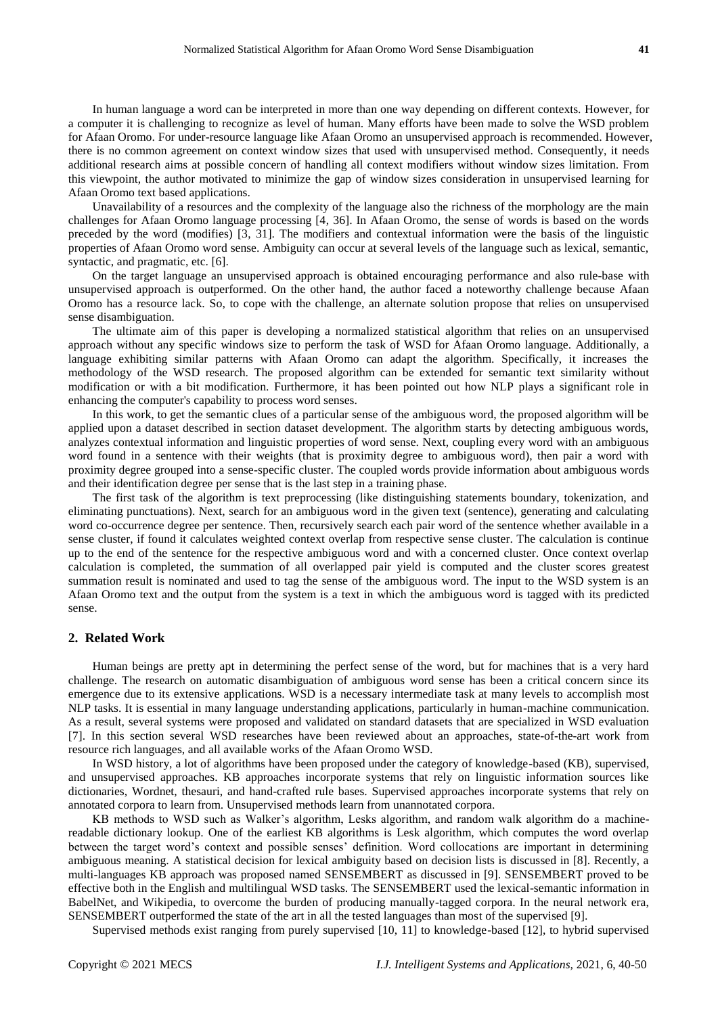In human language a word can be interpreted in more than one way depending on different contexts. However, for a computer it is challenging to recognize as level of human. Many efforts have been made to solve the WSD problem for Afaan Oromo. For under-resource language like Afaan Oromo an unsupervised approach is recommended. However, there is no common agreement on context window sizes that used with unsupervised method. Consequently, it needs additional research aims at possible concern of handling all context modifiers without window sizes limitation. From this viewpoint, the author motivated to minimize the gap of window sizes consideration in unsupervised learning for Afaan Oromo text based applications.

Unavailability of a resources and the complexity of the language also the richness of the morphology are the main challenges for Afaan Oromo language processing [4, 36]. In Afaan Oromo, the sense of words is based on the words preceded by the word (modifies) [3, 31]. The modifiers and contextual information were the basis of the linguistic properties of Afaan Oromo word sense. Ambiguity can occur at several levels of the language such as lexical, semantic, syntactic, and pragmatic, etc. [6].

On the target language an unsupervised approach is obtained encouraging performance and also rule-base with unsupervised approach is outperformed. On the other hand, the author faced a noteworthy challenge because Afaan Oromo has a resource lack. So, to cope with the challenge, an alternate solution propose that relies on unsupervised sense disambiguation.

The ultimate aim of this paper is developing a normalized statistical algorithm that relies on an unsupervised approach without any specific windows size to perform the task of WSD for Afaan Oromo language. Additionally, a language exhibiting similar patterns with Afaan Oromo can adapt the algorithm. Specifically, it increases the methodology of the WSD research. The proposed algorithm can be extended for semantic text similarity without modification or with a bit modification. Furthermore, it has been pointed out how NLP plays a significant role in enhancing the computer's capability to process word senses.

In this work, to get the semantic clues of a particular sense of the ambiguous word, the proposed algorithm will be applied upon a dataset described in section dataset development. The algorithm starts by detecting ambiguous words, analyzes contextual information and linguistic properties of word sense. Next, coupling every word with an ambiguous word found in a sentence with their weights (that is proximity degree to ambiguous word), then pair a word with proximity degree grouped into a sense-specific cluster. The coupled words provide information about ambiguous words and their identification degree per sense that is the last step in a training phase.

The first task of the algorithm is text preprocessing (like distinguishing statements boundary, tokenization, and eliminating punctuations). Next, search for an ambiguous word in the given text (sentence), generating and calculating word co-occurrence degree per sentence. Then, recursively search each pair word of the sentence whether available in a sense cluster, if found it calculates weighted context overlap from respective sense cluster. The calculation is continue up to the end of the sentence for the respective ambiguous word and with a concerned cluster. Once context overlap calculation is completed, the summation of all overlapped pair yield is computed and the cluster scores greatest summation result is nominated and used to tag the sense of the ambiguous word. The input to the WSD system is an Afaan Oromo text and the output from the system is a text in which the ambiguous word is tagged with its predicted sense.

## **2. Related Work**

Human beings are pretty apt in determining the perfect sense of the word, but for machines that is a very hard challenge. The research on automatic disambiguation of ambiguous word sense has been a critical concern since its emergence due to its extensive applications. WSD is a necessary intermediate task at many levels to accomplish most NLP tasks. It is essential in many language understanding applications, particularly in human-machine communication. As a result, several systems were proposed and validated on standard datasets that are specialized in WSD evaluation [7]. In this section several WSD researches have been reviewed about an approaches, state-of-the-art work from resource rich languages, and all available works of the Afaan Oromo WSD.

In WSD history, a lot of algorithms have been proposed under the category of knowledge-based (KB), supervised, and unsupervised approaches. KB approaches incorporate systems that rely on linguistic information sources like dictionaries, Wordnet, thesauri, and hand-crafted rule bases. Supervised approaches incorporate systems that rely on annotated corpora to learn from. Unsupervised methods learn from unannotated corpora.

KB methods to WSD such as Walker's algorithm, Lesks algorithm, and random walk algorithm do a machinereadable dictionary lookup. One of the earliest KB algorithms is Lesk algorithm, which computes the word overlap between the target word's context and possible senses' definition. Word collocations are important in determining ambiguous meaning. A statistical decision for lexical ambiguity based on decision lists is discussed in [8]. Recently, a multi-languages KB approach was proposed named SENSEMBERT as discussed in [9]. SENSEMBERT proved to be effective both in the English and multilingual WSD tasks. The SENSEMBERT used the lexical-semantic information in BabelNet, and Wikipedia, to overcome the burden of producing manually-tagged corpora. In the neural network era, SENSEMBERT outperformed the state of the art in all the tested languages than most of the supervised [9].

Supervised methods exist ranging from purely supervised [10, 11] to knowledge-based [12], to hybrid supervised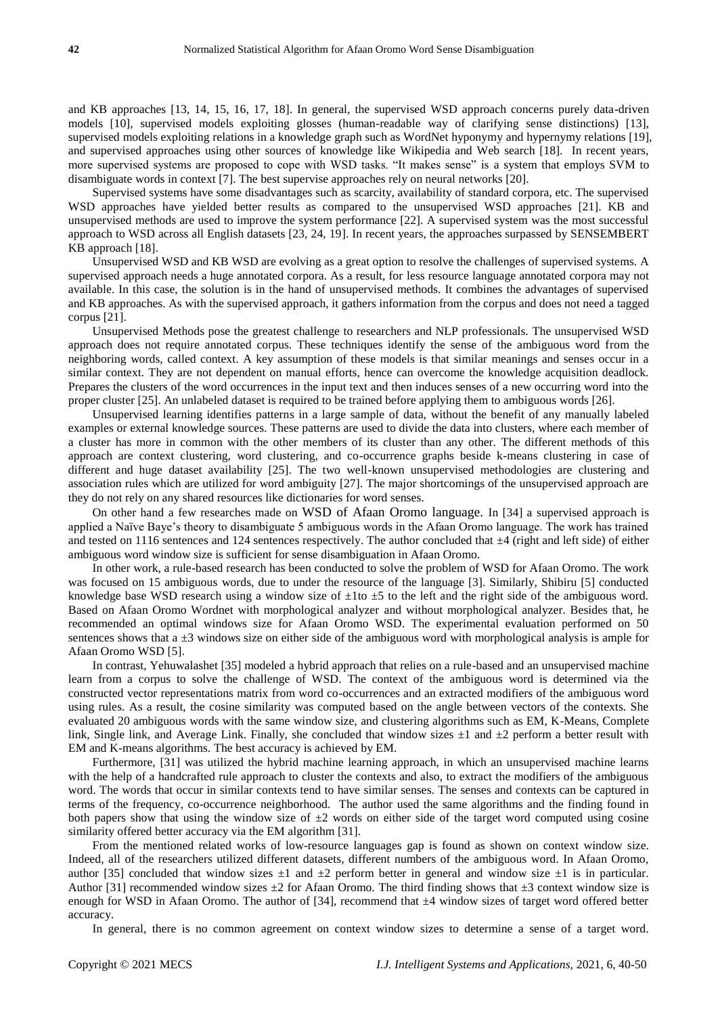and KB approaches [13, 14, 15, 16, 17, 18]. In general, the supervised WSD approach concerns purely data-driven models [10], supervised models exploiting glosses (human-readable way of clarifying sense distinctions) [13], supervised models exploiting relations in a knowledge graph such as WordNet hyponymy and hypernymy relations [19], and supervised approaches using other sources of knowledge like Wikipedia and Web search [18]. In recent years, more supervised systems are proposed to cope with WSD tasks. "It makes sense" is a system that employs SVM to disambiguate words in context [7]. The best supervise approaches rely on neural networks [20].

Supervised systems have some disadvantages such as scarcity, availability of standard corpora, etc. The supervised WSD approaches have yielded better results as compared to the unsupervised WSD approaches [21]. KB and unsupervised methods are used to improve the system performance [22]. A supervised system was the most successful approach to WSD across all English datasets [23, 24, 19]. In recent years, the approaches surpassed by SENSEMBERT KB approach [18].

Unsupervised WSD and KB WSD are evolving as a great option to resolve the challenges of supervised systems. A supervised approach needs a huge annotated corpora. As a result, for less resource language annotated corpora may not available. In this case, the solution is in the hand of unsupervised methods. It combines the advantages of supervised and KB approaches. As with the supervised approach, it gathers information from the corpus and does not need a tagged corpus [21].

Unsupervised Methods pose the greatest challenge to researchers and NLP professionals. The unsupervised WSD approach does not require annotated corpus. These techniques identify the sense of the ambiguous word from the neighboring words, called context. A key assumption of these models is that similar meanings and senses occur in a similar context. They are not dependent on manual efforts, hence can overcome the knowledge acquisition deadlock. Prepares the clusters of the word occurrences in the input text and then induces senses of a new occurring word into the proper cluster [25]. An unlabeled dataset is required to be trained before applying them to ambiguous words [26].

Unsupervised learning identifies patterns in a large sample of data, without the benefit of any manually labeled examples or external knowledge sources. These patterns are used to divide the data into clusters, where each member of a cluster has more in common with the other members of its cluster than any other. The different methods of this approach are context clustering, word clustering, and co-occurrence graphs beside k-means clustering in case of different and huge dataset availability [25]. The two well-known unsupervised methodologies are clustering and association rules which are utilized for word ambiguity [27]. The major shortcomings of the unsupervised approach are they do not rely on any shared resources like dictionaries for word senses.

On other hand a few researches made on WSD of Afaan Oromo language. In [34] a supervised approach is applied a Naïve Baye's theory to disambiguate 5 ambiguous words in the Afaan Oromo language. The work has trained and tested on 1116 sentences and 124 sentences respectively. The author concluded that  $\pm 4$  (right and left side) of either ambiguous word window size is sufficient for sense disambiguation in Afaan Oromo.

In other work, a rule-based research has been conducted to solve the problem of WSD for Afaan Oromo. The work was focused on 15 ambiguous words, due to under the resource of the language [3]. Similarly, Shibiru [5] conducted knowledge base WSD research using a window size of  $\pm$ 1to  $\pm$ 5 to the left and the right side of the ambiguous word. Based on Afaan Oromo Wordnet with morphological analyzer and without morphological analyzer. Besides that, he recommended an optimal windows size for Afaan Oromo WSD. The experimental evaluation performed on 50 sentences shows that a  $\pm 3$  windows size on either side of the ambiguous word with morphological analysis is ample for Afaan Oromo WSD [5].

In contrast, Yehuwalashet [35] modeled a hybrid approach that relies on a rule-based and an unsupervised machine learn from a corpus to solve the challenge of WSD. The context of the ambiguous word is determined via the constructed vector representations matrix from word co-occurrences and an extracted modifiers of the ambiguous word using rules. As a result, the cosine similarity was computed based on the angle between vectors of the contexts. She evaluated 20 ambiguous words with the same window size, and clustering algorithms such as EM, K-Means, Complete link, Single link, and Average Link. Finally, she concluded that window sizes  $\pm 1$  and  $\pm 2$  perform a better result with EM and K-means algorithms. The best accuracy is achieved by EM.

Furthermore, [31] was utilized the hybrid machine learning approach, in which an unsupervised machine learns with the help of a handcrafted rule approach to cluster the contexts and also, to extract the modifiers of the ambiguous word. The words that occur in similar contexts tend to have similar senses. The senses and contexts can be captured in terms of the frequency, co-occurrence neighborhood. The author used the same algorithms and the finding found in both papers show that using the window size of  $\pm 2$  words on either side of the target word computed using cosine similarity offered better accuracy via the EM algorithm [31].

From the mentioned related works of low-resource languages gap is found as shown on context window size. Indeed, all of the researchers utilized different datasets, different numbers of the ambiguous word. In Afaan Oromo, author [35] concluded that window sizes  $\pm 1$  and  $\pm 2$  perform better in general and window size  $\pm 1$  is in particular. Author [31] recommended window sizes  $\pm 2$  for Afaan Oromo. The third finding shows that  $\pm 3$  context window size is enough for WSD in Afaan Oromo. The author of [34], recommend that ±4 window sizes of target word offered better accuracy.

In general, there is no common agreement on context window sizes to determine a sense of a target word.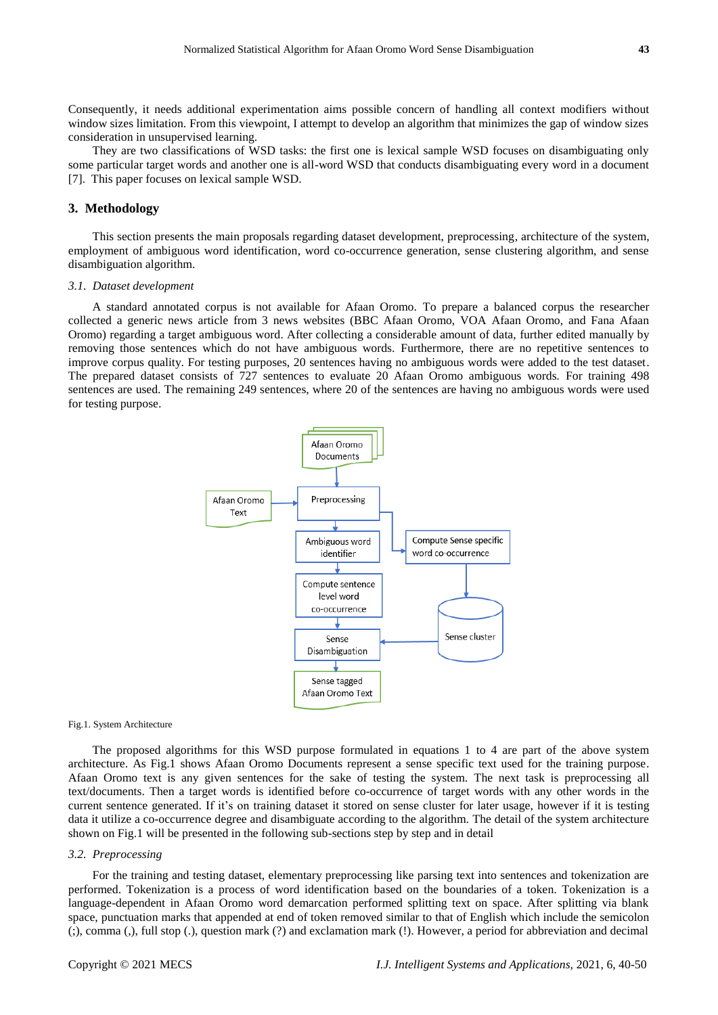Consequently, it needs additional experimentation aims possible concern of handling all context modifiers without window sizes limitation. From this viewpoint, I attempt to develop an algorithm that minimizes the gap of window sizes consideration in unsupervised learning.

They are two classifications of WSD tasks: the first one is lexical sample WSD focuses on disambiguating only some particular target words and another one is all-word WSD that conducts disambiguating every word in a document [7]. This paper focuses on lexical sample WSD.

## **3. Methodology**

This section presents the main proposals regarding dataset development, preprocessing, architecture of the system, employment of ambiguous word identification, word co-occurrence generation, sense clustering algorithm, and sense disambiguation algorithm.

#### *3.1. Dataset development*

A standard annotated corpus is not available for Afaan Oromo. To prepare a balanced corpus the researcher collected a generic news article from 3 news websites (BBC Afaan Oromo, VOA Afaan Oromo, and Fana Afaan Oromo) regarding a target ambiguous word. After collecting a considerable amount of data, further edited manually by removing those sentences which do not have ambiguous words. Furthermore, there are no repetitive sentences to improve corpus quality. For testing purposes, 20 sentences having no ambiguous words were added to the test dataset. The prepared dataset consists of 727 sentences to evaluate 20 Afaan Oromo ambiguous words*.* For training 498 sentences are used. The remaining 249 sentences, where 20 of the sentences are having no ambiguous words were used for testing purpose.



#### Fig.1. System Architecture

The proposed algorithms for this WSD purpose formulated in equations 1 to 4 are part of the above system architecture. As Fig.1 shows Afaan Oromo Documents represent a sense specific text used for the training purpose. Afaan Oromo text is any given sentences for the sake of testing the system. The next task is preprocessing all text/documents. Then a target words is identified before co-occurrence of target words with any other words in the current sentence generated. If it's on training dataset it stored on sense cluster for later usage, however if it is testing data it utilize a co-occurrence degree and disambiguate according to the algorithm. The detail of the system architecture shown on Fig.1 will be presented in the following sub-sections step by step and in detail

#### *3.2. Preprocessing*

For the training and testing dataset, elementary preprocessing like parsing text into sentences and tokenization are performed. Tokenization is a process of word identification based on the boundaries of a token. Tokenization is a language-dependent in Afaan Oromo word demarcation performed splitting text on space. After splitting via blank space, punctuation marks that appended at end of token removed similar to that of English which include the semicolon (;), comma (,), full stop (.), question mark (?) and exclamation mark (!). However, a period for abbreviation and decimal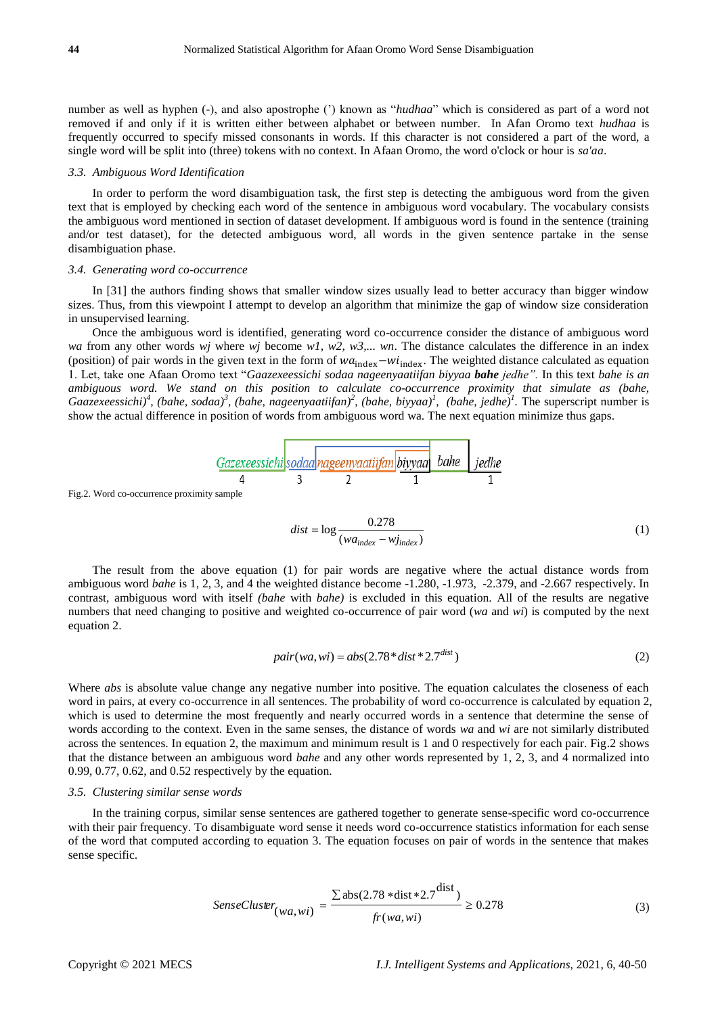number as well as hyphen (-), and also apostrophe (') known as "*hudhaa*" which is considered as part of a word not removed if and only if it is written either between alphabet or between number. In Afan Oromo text *hudhaa* is frequently occurred to specify missed consonants in words. If this character is not considered a part of the word, a single word will be split into (three) tokens with no context. In Afaan Oromo, the word o'clock or hour is *sa'aa*.

#### *3.3. Ambiguous Word Identification*

In order to perform the word disambiguation task, the first step is detecting the ambiguous word from the given text that is employed by checking each word of the sentence in ambiguous word vocabulary. The vocabulary consists the ambiguous word mentioned in section of dataset development. If ambiguous word is found in the sentence (training and/or test dataset), for the detected ambiguous word, all words in the given sentence partake in the sense disambiguation phase.

#### *3.4. Generating word co-occurrence*

In [31] the authors finding shows that smaller window sizes usually lead to better accuracy than bigger window sizes. Thus, from this viewpoint I attempt to develop an algorithm that minimize the gap of window size consideration in unsupervised learning.

Once the ambiguous word is identified, generating word co-occurrence consider the distance of ambiguous word *wa* from any other words *wj* where *wj* become *w1, w2, w3,... wn*. The distance calculates the difference in an index (position) of pair words in the given text in the form of  $wa_{index} - wi_{index}$ . The weighted distance calculated as equation 1. Let, take one Afaan Oromo text "*Gaazexeessichi sodaa nageenyaatiifan biyyaa bahe jedhe".* In this text *bahe is an ambiguous word. We stand on this position to calculate co-occurrence proximity that simulate as (bahe, Gaazexeessichi)<sup>4</sup> , (bahe, sodaa)<sup>3</sup> , (bahe, nageenyaatiifan)<sup>2</sup> , (bahe, biyyaa)<sup>1</sup> , (bahe, jedhe)<sup>1</sup> .* The superscript number is show the actual difference in position of words from ambiguous word wa. The next equation minimize thus gaps.

$$
\underbrace{Gazexeessichi}_{4}\underbrace{sodaa}_{3}\underbrace{nageenyaatiifan}_{2}\underbrace{biyyaa}_{1} \underbrace{bahe}_{bahe}\underbrace{jedhe}_{1}
$$

Fig.2. Word co-occurrence proximity sample

$$
dist = \log \frac{0.278}{(wa_{index} - w_{index})}
$$
 (1)

The result from the above equation (1) for pair words are negative where the actual distance words from ambiguous word *bahe* is 1, 2, 3, and 4 the weighted distance become -1.280, -1.973, -2.379, and -2.667 respectively. In contrast, ambiguous word with itself *(bahe* with *bahe)* is excluded in this equation. All of the results are negative numbers that need changing to positive and weighted co-occurrence of pair word (*wa* and *wi*) is computed by the next equation 2.

$$
pair(wa, wi) = abs(2.78 * dist * 2.7dist)
$$
\n(2)

Where *abs* is absolute value change any negative number into positive. The equation calculates the closeness of each word in pairs, at every co-occurrence in all sentences. The probability of word co-occurrence is calculated by equation 2, which is used to determine the most frequently and nearly occurred words in a sentence that determine the sense of words according to the context. Even in the same senses, the distance of words *wa* and *wi* are not similarly distributed across the sentences. In equation 2, the maximum and minimum result is 1 and 0 respectively for each pair. Fig.2 shows that the distance between an ambiguous word *bahe* and any other words represented by 1, 2, 3, and 4 normalized into 0.99, 0.77, 0.62, and 0.52 respectively by the equation.

#### *3.5. Clustering similar sense words*

In the training corpus, similar sense sentences are gathered together to generate sense-specific word co-occurrence with their pair frequency. To disambiguate word sense it needs word co-occurrence statistics information for each sense of the word that computed according to equation 3. The equation focuses on pair of words in the sentence that makes sense specific.

$$
SenseCluster_{(wa, wi)} = \frac{\sum abs(2.78 * dist * 2.7^{dist})}{fr(wa, wi)} \ge 0.278
$$
\n(3)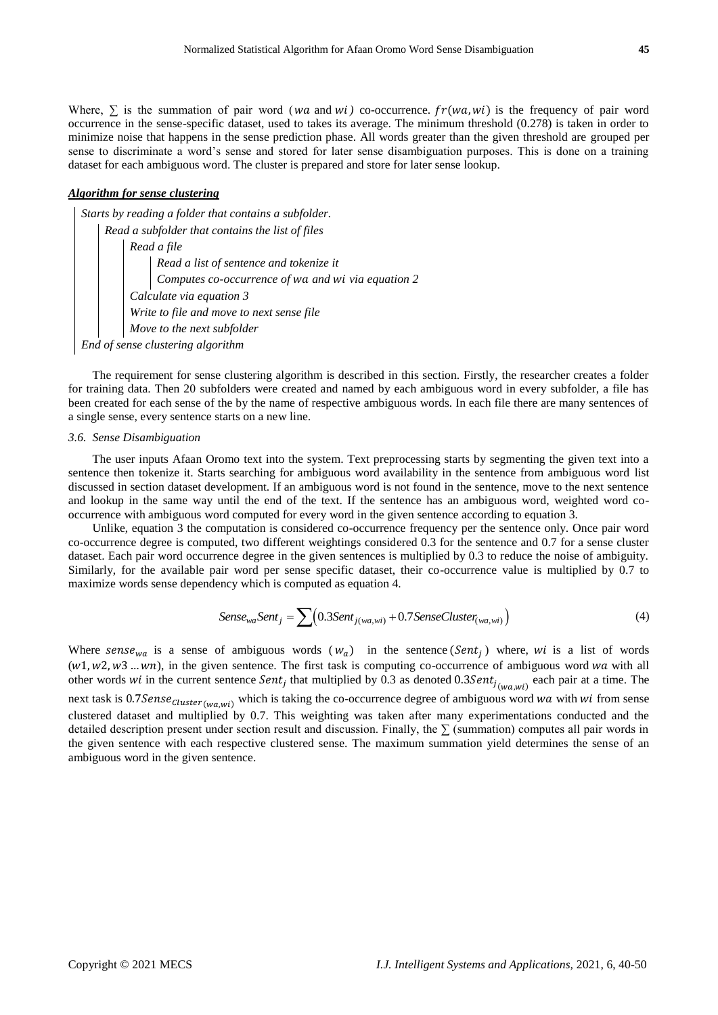Where,  $\sum$  is the summation of pair word (*wa* and *wi*) co-occurrence.  $fr(wa, wi)$  is the frequency of pair word occurrence in the sense-specific dataset, used to takes its average. The minimum threshold (0.278) is taken in order to minimize noise that happens in the sense prediction phase. All words greater than the given threshold are grouped per sense to discriminate a word's sense and stored for later sense disambiguation purposes. This is done on a training dataset for each ambiguous word. The cluster is prepared and store for later sense lookup.

#### *Algorithm for sense clustering*

*Starts by reading a folder that contains a subfolder. Read a subfolder that contains the list of files Read a file Read a list of sentence and tokenize it Computes co-occurrence of and via equation 2 Calculate via equation 3 Write to file and move to next sense file Move to the next subfolder End of sense clustering algorithm*

The requirement for sense clustering algorithm is described in this section. Firstly, the researcher creates a folder for training data. Then 20 subfolders were created and named by each ambiguous word in every subfolder, a file has been created for each sense of the by the name of respective ambiguous words. In each file there are many sentences of a single sense, every sentence starts on a new line.

#### *3.6. Sense Disambiguation*

The user inputs Afaan Oromo text into the system. Text preprocessing starts by segmenting the given text into a sentence then tokenize it. Starts searching for ambiguous word availability in the sentence from ambiguous word list discussed in section dataset development. If an ambiguous word is not found in the sentence, move to the next sentence and lookup in the same way until the end of the text. If the sentence has an ambiguous word, weighted word cooccurrence with ambiguous word computed for every word in the given sentence according to equation 3.

Unlike, equation 3 the computation is considered co-occurrence frequency per the sentence only. Once pair word co-occurrence degree is computed, two different weightings considered 0.3 for the sentence and 0.7 for a sense cluster dataset. Each pair word occurrence degree in the given sentences is multiplied by 0.3 to reduce the noise of ambiguity. Similarly, for the available pair word per sense specific dataset, their co-occurrence value is multiplied by 0.7 to maximize words sense dependency which is computed as equation 4.

Sense<sub>wa</sub>Sent<sub>j</sub> = 
$$
\sum (0.3Sent_{j(wa, wi)} + 0.7SenseCluster_{(wa, wi)})
$$
 (4)

Where sense<sub>wa</sub> is a sense of ambiguous words  $(w_a)$  in the sentence (Sent<sub>j</sub>) where, wi is a list of words  $(w1, w2, w3 ... wn)$ , in the given sentence. The first task is computing co-occurrence of ambiguous word wa with all other words wi in the current sentence Sent<sub>j</sub> that multiplied by 0.3 as denoted 0.3Sent<sub>j<sub>(wa,wi)</sub> each pair at a time. The</sub> next task is  $0.7\text{Sense}_{Cluster(wawi)}$  which is taking the co-occurrence degree of ambiguous word wa with wi from sense clustered dataset and multiplied by 0.7. This weighting was taken after many experimentations conducted and the detailed description present under section result and discussion. Finally, the  $\Sigma$  (summation) computes all pair words in the given sentence with each respective clustered sense. The maximum summation yield determines the sense of an ambiguous word in the given sentence.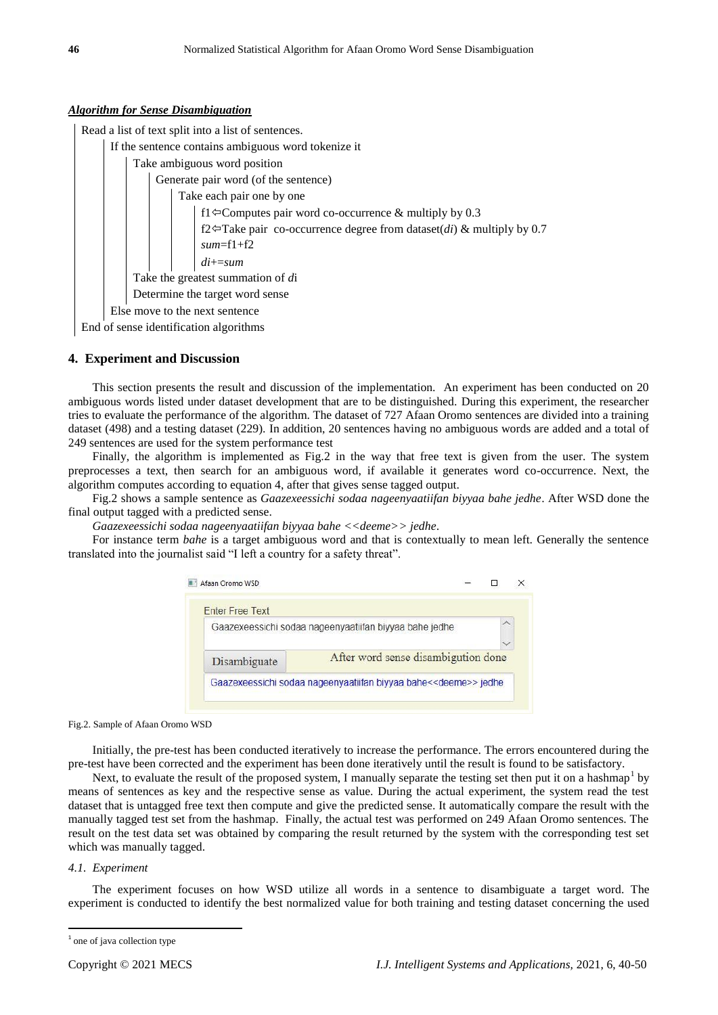## *Algorithm for Sense Disambiguation*

Read a list of text split into a list of sentences. If the sentence contains ambiguous word tokenize it Take ambiguous word position Generate pair word (of the sentence) Take each pair one by one f1 $\leftarrow$ Computes pair word co-occurrence & multiply by 0.3 f2 $\leftarrow$ Take pair co-occurrence degree from dataset(*di*) & multiply by 0.7 *sum*=f1+f2 *di*+=*sum* Take the greatest summation of *d*i Determine the target word sense Else move to the next sentence End of sense identification algorithms

## **4. Experiment and Discussion**

This section presents the result and discussion of the implementation. An experiment has been conducted on 20 ambiguous words listed under dataset development that are to be distinguished. During this experiment, the researcher tries to evaluate the performance of the algorithm. The dataset of 727 Afaan Oromo sentences are divided into a training dataset (498) and a testing dataset (229). In addition, 20 sentences having no ambiguous words are added and a total of 249 sentences are used for the system performance test

Finally, the algorithm is implemented as Fig.2 in the way that free text is given from the user. The system preprocesses a text, then search for an ambiguous word, if available it generates word co-occurrence. Next, the algorithm computes according to equation 4, after that gives sense tagged output.

Fig.2 shows a sample sentence as *Gaazexeessichi sodaa nageenyaatiifan biyyaa bahe jedhe*. After WSD done the final output tagged with a predicted sense.

*Gaazexeessichi sodaa nageenyaatiifan biyyaa bahe <<deeme>> jedhe*.

For instance term *bahe* is a target ambiguous word and that is contextually to mean left. Generally the sentence translated into the journalist said "I left a country for a safety threat".

|              | Gaazexeessichi sodaa naqeenyaatiifan biyyaa bahe jedhe |  |
|--------------|--------------------------------------------------------|--|
|              |                                                        |  |
| Disambiguate | After word sense disambigution done                    |  |

Fig.2. Sample of Afaan Oromo WSD

Initially, the pre-test has been conducted iteratively to increase the performance. The errors encountered during the pre-test have been corrected and the experiment has been done iteratively until the result is found to be satisfactory.

Next, to evaluate the result of the proposed system, I manually separate the testing set then put it on a hashmap<sup>1</sup> by means of sentences as key and the respective sense as value. During the actual experiment, the system read the test dataset that is untagged free text then compute and give the predicted sense. It automatically compare the result with the manually tagged test set from the hashmap. Finally, the actual test was performed on 249 Afaan Oromo sentences. The result on the test data set was obtained by comparing the result returned by the system with the corresponding test set which was manually tagged.

## *4.1. Experiment*

1

The experiment focuses on how WSD utilize all words in a sentence to disambiguate a target word. The experiment is conducted to identify the best normalized value for both training and testing dataset concerning the used

<sup>&</sup>lt;sup>1</sup> one of java collection type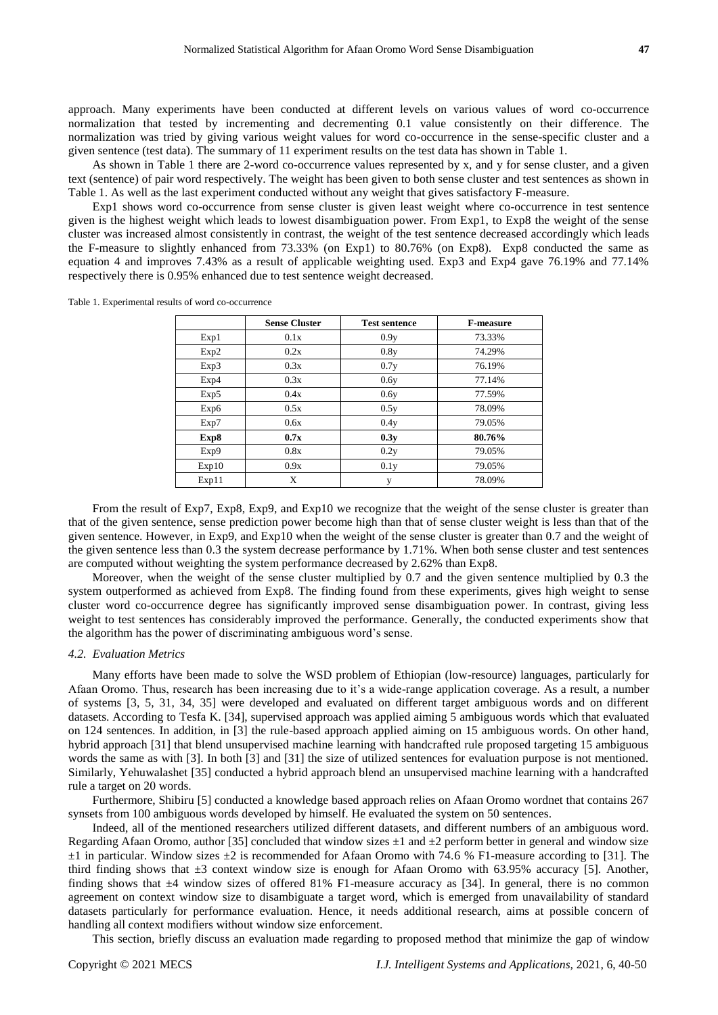approach. Many experiments have been conducted at different levels on various values of word co-occurrence normalization that tested by incrementing and decrementing 0.1 value consistently on their difference. The normalization was tried by giving various weight values for word co-occurrence in the sense-specific cluster and a given sentence (test data). The summary of 11 experiment results on the test data has shown in Table 1.

As shown in Table 1 there are 2-word co-occurrence values represented by x, and y for sense cluster, and a given text (sentence) of pair word respectively. The weight has been given to both sense cluster and test sentences as shown in Table 1. As well as the last experiment conducted without any weight that gives satisfactory F-measure.

Exp1 shows word co-occurrence from sense cluster is given least weight where co-occurrence in test sentence given is the highest weight which leads to lowest disambiguation power. From Exp1, to Exp8 the weight of the sense cluster was increased almost consistently in contrast, the weight of the test sentence decreased accordingly which leads the F-measure to slightly enhanced from 73.33% (on Exp1) to 80.76% (on Exp8). Exp8 conducted the same as equation 4 and improves 7.43% as a result of applicable weighting used. Exp3 and Exp4 gave 76.19% and 77.14% respectively there is 0.95% enhanced due to test sentence weight decreased.

| Table 1. Experimental results of word co-occurrence |  |  |  |
|-----------------------------------------------------|--|--|--|
|-----------------------------------------------------|--|--|--|

|       | <b>Sense Cluster</b> | <b>Test sentence</b> | <b>F-measure</b> |
|-------|----------------------|----------------------|------------------|
| Exp1  | 0.1x                 | 0.9y                 | 73.33%           |
| Exp2  | 0.2x                 | 0.8v                 | 74.29%           |
| Exp3  | 0.3x                 | 0.7y                 | 76.19%           |
| Exp4  | 0.3x                 | 0.6y                 | 77.14%           |
| Exp5  | 0.4x                 | 0.6y                 | 77.59%           |
| Exp6  | 0.5x                 | 0.5y                 | 78.09%           |
| Exp7  | 0.6x                 | 0.4y                 | 79.05%           |
| Exp8  | 0.7x                 | 0.3y                 | 80.76%           |
| Exp9  | 0.8x                 | 0.2y                 | 79.05%           |
| Exp10 | 0.9x                 | 0.1y                 | 79.05%           |
| Exp11 | X                    | v                    | 78.09%           |

From the result of Exp7, Exp8, Exp9, and Exp10 we recognize that the weight of the sense cluster is greater than that of the given sentence, sense prediction power become high than that of sense cluster weight is less than that of the given sentence. However, in Exp9, and Exp10 when the weight of the sense cluster is greater than 0.7 and the weight of the given sentence less than 0.3 the system decrease performance by 1.71%. When both sense cluster and test sentences are computed without weighting the system performance decreased by 2.62% than Exp8.

Moreover, when the weight of the sense cluster multiplied by 0.7 and the given sentence multiplied by 0.3 the system outperformed as achieved from Exp8. The finding found from these experiments, gives high weight to sense cluster word co-occurrence degree has significantly improved sense disambiguation power. In contrast, giving less weight to test sentences has considerably improved the performance. Generally, the conducted experiments show that the algorithm has the power of discriminating ambiguous word's sense.

#### *4.2. Evaluation Metrics*

Many efforts have been made to solve the WSD problem of Ethiopian (low-resource) languages, particularly for Afaan Oromo. Thus, research has been increasing due to it's a wide-range application coverage. As a result, a number of systems [3, 5, 31, 34, 35] were developed and evaluated on different target ambiguous words and on different datasets. According to Tesfa K. [34], supervised approach was applied aiming 5 ambiguous words which that evaluated on 124 sentences. In addition, in [3] the rule-based approach applied aiming on 15 ambiguous words. On other hand, hybrid approach [31] that blend unsupervised machine learning with handcrafted rule proposed targeting 15 ambiguous words the same as with [3]. In both [3] and [31] the size of utilized sentences for evaluation purpose is not mentioned. Similarly, Yehuwalashet [35] conducted a hybrid approach blend an unsupervised machine learning with a handcrafted rule a target on 20 words.

Furthermore, Shibiru [5] conducted a knowledge based approach relies on Afaan Oromo wordnet that contains 267 synsets from 100 ambiguous words developed by himself. He evaluated the system on 50 sentences.

Indeed, all of the mentioned researchers utilized different datasets, and different numbers of an ambiguous word. Regarding Afaan Oromo, author [35] concluded that window sizes  $\pm 1$  and  $\pm 2$  perform better in general and window size  $\pm 1$  in particular. Window sizes  $\pm 2$  is recommended for Afaan Oromo with 74.6 % F1-measure according to [31]. The third finding shows that  $\pm 3$  context window size is enough for Afaan Oromo with 63.95% accuracy [5]. Another, finding shows that  $\pm 4$  window sizes of offered 81% F1-measure accuracy as [34]. In general, there is no common agreement on context window size to disambiguate a target word, which is emerged from unavailability of standard datasets particularly for performance evaluation. Hence, it needs additional research, aims at possible concern of handling all context modifiers without window size enforcement.

This section, briefly discuss an evaluation made regarding to proposed method that minimize the gap of window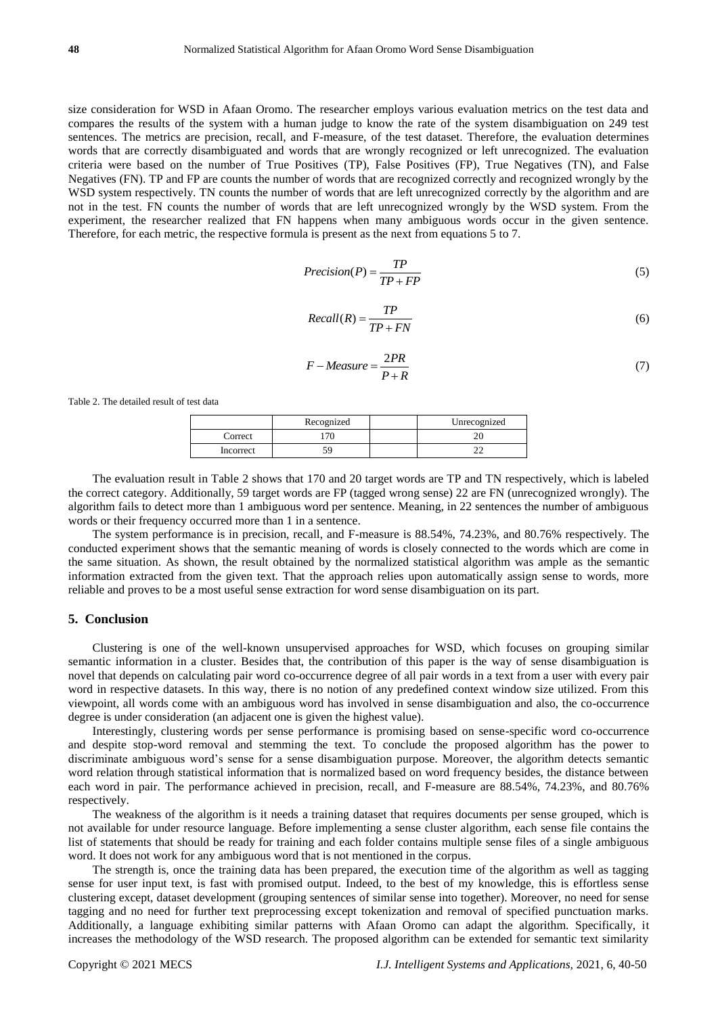size consideration for WSD in Afaan Oromo. The researcher employs various evaluation metrics on the test data and compares the results of the system with a human judge to know the rate of the system disambiguation on 249 test sentences. The metrics are precision, recall, and F-measure, of the test dataset. Therefore, the evaluation determines words that are correctly disambiguated and words that are wrongly recognized or left unrecognized. The evaluation criteria were based on the number of True Positives (TP), False Positives (FP), True Negatives (TN), and False Negatives (FN). TP and FP are counts the number of words that are recognized correctly and recognized wrongly by the WSD system respectively. TN counts the number of words that are left unrecognized correctly by the algorithm and are not in the test. FN counts the number of words that are left unrecognized wrongly by the WSD system. From the experiment, the researcher realized that FN happens when many ambiguous words occur in the given sentence. Therefore, for each metric, the respective formula is present as the next from equations 5 to 7.

$$
Precision(P) = \frac{TP}{TP + FP}
$$
\n<sup>(5)</sup>

$$
Recall(R) = \frac{TP}{TP + FN}
$$
\n<sup>(6)</sup>

$$
F-Measure = \frac{2PR}{P+R}
$$
 (7)

Table 2. The detailed result of test data

|           | Recognized | Unrecognized |
|-----------|------------|--------------|
| Correct   |            |              |
| Incorrect |            |              |

The evaluation result in Table 2 shows that 170 and 20 target words are TP and TN respectively, which is labeled the correct category. Additionally, 59 target words are FP (tagged wrong sense) 22 are FN (unrecognized wrongly). The algorithm fails to detect more than 1 ambiguous word per sentence. Meaning, in 22 sentences the number of ambiguous words or their frequency occurred more than 1 in a sentence.

The system performance is in precision, recall, and F-measure is 88.54%, 74.23%, and 80.76% respectively. The conducted experiment shows that the semantic meaning of words is closely connected to the words which are come in the same situation. As shown, the result obtained by the normalized statistical algorithm was ample as the semantic information extracted from the given text. That the approach relies upon automatically assign sense to words, more reliable and proves to be a most useful sense extraction for word sense disambiguation on its part.

## **5. Conclusion**

Clustering is one of the well-known unsupervised approaches for WSD, which focuses on grouping similar semantic information in a cluster. Besides that, the contribution of this paper is the way of sense disambiguation is novel that depends on calculating pair word co-occurrence degree of all pair words in a text from a user with every pair word in respective datasets. In this way, there is no notion of any predefined context window size utilized. From this viewpoint, all words come with an ambiguous word has involved in sense disambiguation and also, the co-occurrence degree is under consideration (an adjacent one is given the highest value).

Interestingly, clustering words per sense performance is promising based on sense-specific word co-occurrence and despite stop-word removal and stemming the text. To conclude the proposed algorithm has the power to discriminate ambiguous word's sense for a sense disambiguation purpose. Moreover, the algorithm detects semantic word relation through statistical information that is normalized based on word frequency besides, the distance between each word in pair. The performance achieved in precision, recall, and F-measure are 88.54%, 74.23%, and 80.76% respectively.

The weakness of the algorithm is it needs a training dataset that requires documents per sense grouped, which is not available for under resource language. Before implementing a sense cluster algorithm, each sense file contains the list of statements that should be ready for training and each folder contains multiple sense files of a single ambiguous word. It does not work for any ambiguous word that is not mentioned in the corpus.

The strength is, once the training data has been prepared, the execution time of the algorithm as well as tagging sense for user input text, is fast with promised output. Indeed, to the best of my knowledge, this is effortless sense clustering except, dataset development (grouping sentences of similar sense into together). Moreover, no need for sense tagging and no need for further text preprocessing except tokenization and removal of specified punctuation marks. Additionally, a language exhibiting similar patterns with Afaan Oromo can adapt the algorithm. Specifically, it increases the methodology of the WSD research. The proposed algorithm can be extended for semantic text similarity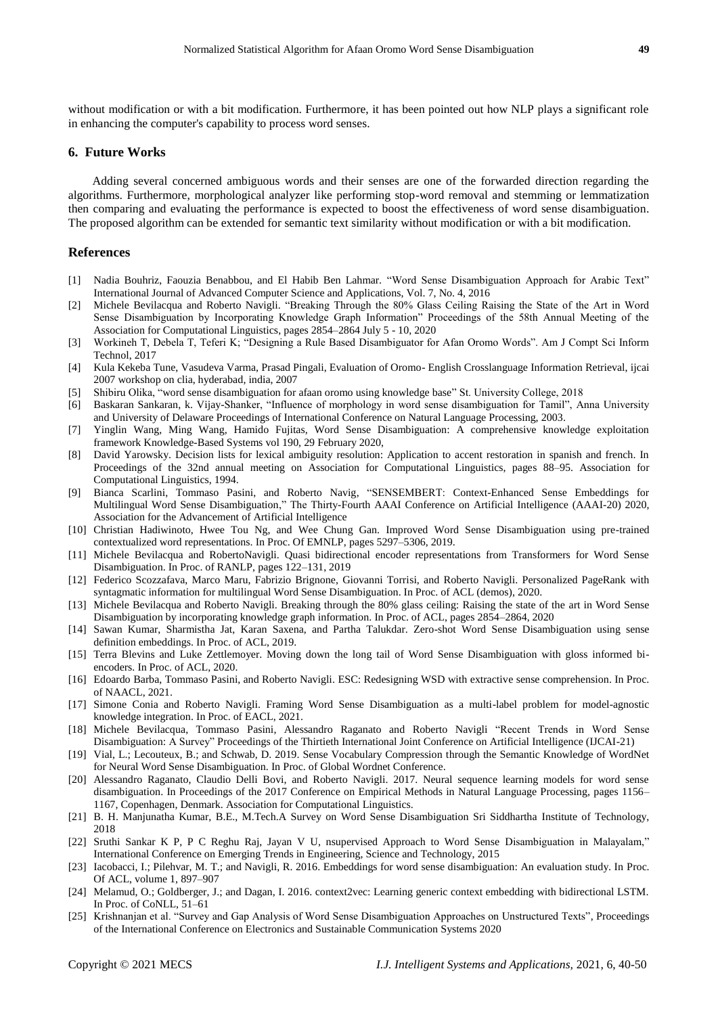without modification or with a bit modification. Furthermore, it has been pointed out how NLP plays a significant role in enhancing the computer's capability to process word senses.

## **6. Future Works**

Adding several concerned ambiguous words and their senses are one of the forwarded direction regarding the algorithms. Furthermore, morphological analyzer like performing stop-word removal and stemming or lemmatization then comparing and evaluating the performance is expected to boost the effectiveness of word sense disambiguation. The proposed algorithm can be extended for semantic text similarity without modification or with a bit modification.

#### **References**

- [1] Nadia Bouhriz, Faouzia Benabbou, and El Habib Ben Lahmar. "Word Sense Disambiguation Approach for Arabic Text" International Journal of Advanced Computer Science and Applications, Vol. 7, No. 4, 2016
- [2] Michele Bevilacqua and Roberto Navigli. "Breaking Through the 80% Glass Ceiling Raising the State of the Art in Word Sense Disambiguation by Incorporating Knowledge Graph Information" Proceedings of the 58th Annual Meeting of the Association for Computational Linguistics, pages 2854–2864 July 5 - 10, 2020
- [3] Workineh T, Debela T, Teferi K; "Designing a Rule Based Disambiguator for Afan Oromo Words". Am J Compt Sci Inform Technol, 2017
- [4] Kula Kekeba Tune, Vasudeva Varma, Prasad Pingali, Evaluation of Oromo- English Crosslanguage Information Retrieval, ijcai 2007 workshop on clia, hyderabad, india, 2007
- [5] Shibiru Olika, "word sense disambiguation for afaan oromo using knowledge base" St. University College, 2018
- [6] Baskaran Sankaran, k. Vijay-Shanker, "Influence of morphology in word sense disambiguation for Tamil", Anna University and University of Delaware Proceedings of International Conference on Natural Language Processing, 2003.
- [7] Yinglin Wang, Ming Wang, Hamido Fujitas, Word Sense Disambiguation: A comprehensive knowledge exploitation framework Knowledge-Based Systems vol 190, 29 February 2020,
- [8] David Yarowsky. Decision lists for lexical ambiguity resolution: Application to accent restoration in spanish and french. In Proceedings of the 32nd annual meeting on Association for Computational Linguistics, pages 88–95. Association for Computational Linguistics, 1994.
- [9] Bianca Scarlini, Tommaso Pasini, and Roberto Navig, "SENSEMBERT: Context-Enhanced Sense Embeddings for Multilingual Word Sense Disambiguation," The Thirty-Fourth AAAI Conference on Artificial Intelligence (AAAI-20) 2020, Association for the Advancement of Artificial Intelligence
- [10] Christian Hadiwinoto, Hwee Tou Ng, and Wee Chung Gan. Improved Word Sense Disambiguation using pre-trained contextualized word representations. In Proc. Of EMNLP, pages 5297–5306, 2019.
- [11] Michele Bevilacqua and RobertoNavigli. Quasi bidirectional encoder representations from Transformers for Word Sense Disambiguation. In Proc. of RANLP, pages 122–131, 2019
- [12] Federico Scozzafava, Marco Maru, Fabrizio Brignone, Giovanni Torrisi, and Roberto Navigli. Personalized PageRank with syntagmatic information for multilingual Word Sense Disambiguation. In Proc. of ACL (demos), 2020.
- [13] Michele Bevilacqua and Roberto Navigli. Breaking through the 80% glass ceiling: Raising the state of the art in Word Sense Disambiguation by incorporating knowledge graph information. In Proc. of ACL, pages 2854–2864, 2020
- [14] Sawan Kumar, Sharmistha Jat, Karan Saxena, and Partha Talukdar. Zero-shot Word Sense Disambiguation using sense definition embeddings. In Proc. of ACL, 2019.
- [15] Terra Blevins and Luke Zettlemoyer. Moving down the long tail of Word Sense Disambiguation with gloss informed biencoders. In Proc. of ACL, 2020.
- [16] Edoardo Barba, Tommaso Pasini, and Roberto Navigli. ESC: Redesigning WSD with extractive sense comprehension. In Proc. of NAACL, 2021.
- [17] Simone Conia and Roberto Navigli. Framing Word Sense Disambiguation as a multi-label problem for model-agnostic knowledge integration. In Proc. of EACL, 2021.
- [18] Michele Bevilacqua, Tommaso Pasini, Alessandro Raganato and Roberto Navigli "Recent Trends in Word Sense Disambiguation: A Survey" Proceedings of the Thirtieth International Joint Conference on Artificial Intelligence (IJCAI-21)
- [19] Vial, L.; Lecouteux, B.; and Schwab, D. 2019. Sense Vocabulary Compression through the Semantic Knowledge of WordNet for Neural Word Sense Disambiguation. In Proc. of Global Wordnet Conference.
- [20] Alessandro Raganato, Claudio Delli Bovi, and Roberto Navigli. 2017. Neural sequence learning models for word sense disambiguation. In Proceedings of the 2017 Conference on Empirical Methods in Natural Language Processing, pages 1156– 1167, Copenhagen, Denmark. Association for Computational Linguistics.
- [21] B. H. Manjunatha Kumar, B.E., M.Tech.A Survey on Word Sense Disambiguation Sri Siddhartha Institute of Technology, 2018
- [22] Sruthi Sankar K P, P C Reghu Raj, Jayan V U, nsupervised Approach to Word Sense Disambiguation in Malayalam," International Conference on Emerging Trends in Engineering, Science and Technology, 2015
- [23] Iacobacci, I.; Pilehvar, M. T.; and Navigli, R. 2016. Embeddings for word sense disambiguation: An evaluation study. In Proc. Of ACL, volume 1, 897–907
- [24] Melamud, O.; Goldberger, J.; and Dagan, I. 2016. context2vec: Learning generic context embedding with bidirectional LSTM. In Proc. of CoNLL, 51–61
- [25] Krishnanjan et al. "Survey and Gap Analysis of Word Sense Disambiguation Approaches on Unstructured Texts", Proceedings of the International Conference on Electronics and Sustainable Communication Systems 2020